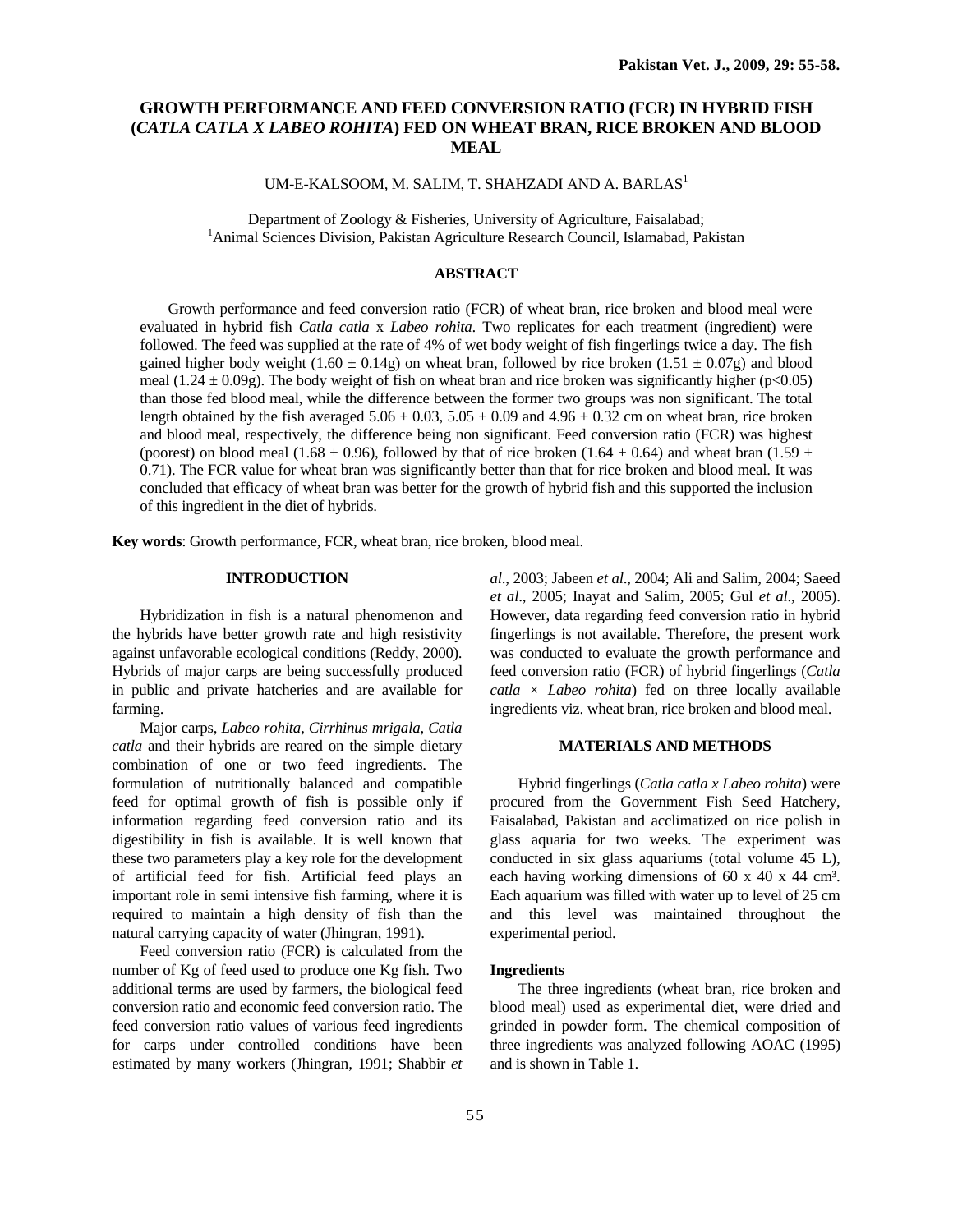# **GROWTH PERFORMANCE AND FEED CONVERSION RATIO (FCR) IN HYBRID FISH (***CATLA CATLA X LABEO ROHITA***) FED ON WHEAT BRAN, RICE BROKEN AND BLOOD MEAL**

# UM-E-KALSOOM, M. SALIM, T. SHAHZADI AND A. BARLAS<sup>1</sup>

Department of Zoology & Fisheries, University of Agriculture, Faisalabad; <sup>1</sup> Animal Sciences Division, Pakistan Agriculture Research Council, Islamabad, Pakistan

# **ABSTRACT**

Growth performance and feed conversion ratio (FCR) of wheat bran, rice broken and blood meal were evaluated in hybrid fish *Catla catla* x *Labeo rohita*. Two replicates for each treatment (ingredient) were followed. The feed was supplied at the rate of 4% of wet body weight of fish fingerlings twice a day. The fish gained higher body weight (1.60  $\pm$  0.14g) on wheat bran, followed by rice broken (1.51  $\pm$  0.07g) and blood meal (1.24  $\pm$  0.09g). The body weight of fish on wheat bran and rice broken was significantly higher (p<0.05) than those fed blood meal, while the difference between the former two groups was non significant. The total length obtained by the fish averaged  $5.06 \pm 0.03$ ,  $5.05 \pm 0.09$  and  $4.96 \pm 0.32$  cm on wheat bran, rice broken and blood meal, respectively, the difference being non significant. Feed conversion ratio (FCR) was highest (poorest) on blood meal (1.68  $\pm$  0.96), followed by that of rice broken (1.64  $\pm$  0.64) and wheat bran (1.59  $\pm$ 0.71). The FCR value for wheat bran was significantly better than that for rice broken and blood meal. It was concluded that efficacy of wheat bran was better for the growth of hybrid fish and this supported the inclusion of this ingredient in the diet of hybrids.

**Key words**: Growth performance, FCR, wheat bran, rice broken, blood meal.

### **INTRODUCTION**

Hybridization in fish is a natural phenomenon and the hybrids have better growth rate and high resistivity against unfavorable ecological conditions (Reddy, 2000). Hybrids of major carps are being successfully produced in public and private hatcheries and are available for farming.

Major carps, *Labeo rohita*, *Cirrhinus mrigala*, *Catla catla* and their hybrids are reared on the simple dietary combination of one or two feed ingredients. The formulation of nutritionally balanced and compatible feed for optimal growth of fish is possible only if information regarding feed conversion ratio and its digestibility in fish is available. It is well known that these two parameters play a key role for the development of artificial feed for fish. Artificial feed plays an important role in semi intensive fish farming, where it is required to maintain a high density of fish than the natural carrying capacity of water (Jhingran, 1991).

Feed conversion ratio (FCR) is calculated from the number of Kg of feed used to produce one Kg fish. Two additional terms are used by farmers, the biological feed conversion ratio and economic feed conversion ratio. The feed conversion ratio values of various feed ingredients for carps under controlled conditions have been estimated by many workers (Jhingran, 1991; Shabbir *et*  *al*., 2003; Jabeen *et al*., 2004; Ali and Salim, 2004; Saeed *et al*., 2005; Inayat and Salim, 2005; Gul *et al*., 2005). However, data regarding feed conversion ratio in hybrid fingerlings is not available. Therefore, the present work was conducted to evaluate the growth performance and feed conversion ratio (FCR) of hybrid fingerlings (*Catla catla × Labeo rohita*) fed on three locally available ingredients viz. wheat bran, rice broken and blood meal.

### **MATERIALS AND METHODS**

Hybrid fingerlings (*Catla catla x Labeo rohita*) were procured from the Government Fish Seed Hatchery, Faisalabad, Pakistan and acclimatized on rice polish in glass aquaria for two weeks. The experiment was conducted in six glass aquariums (total volume 45 L), each having working dimensions of 60 x 40 x 44 cm<sup>3</sup>. Each aquarium was filled with water up to level of 25 cm and this level was maintained throughout the experimental period.

### **Ingredients**

The three ingredients (wheat bran, rice broken and blood meal) used as experimental diet, were dried and grinded in powder form. The chemical composition of three ingredients was analyzed following AOAC (1995) and is shown in Table 1.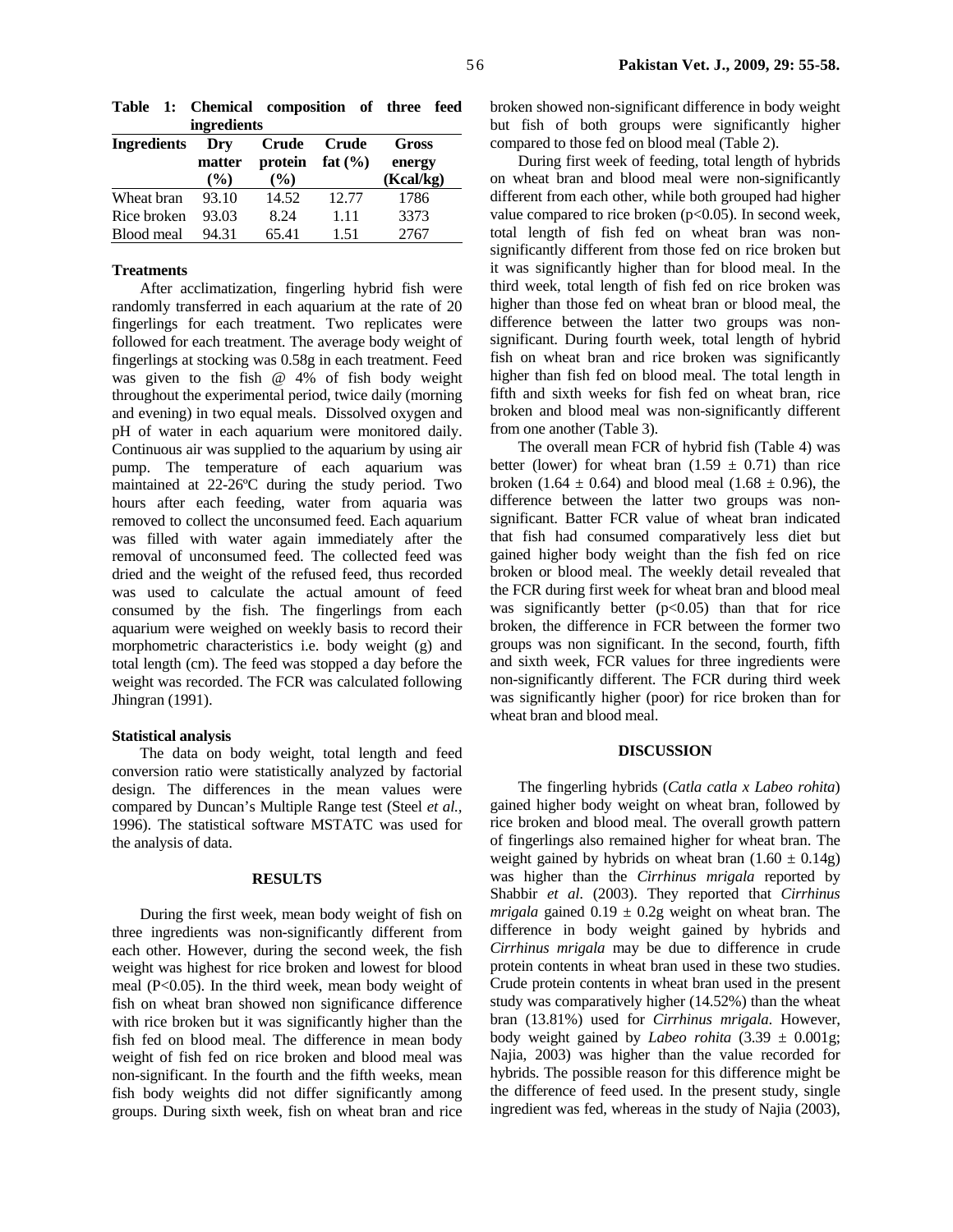| ingredients        |               |                  |                             |                        |
|--------------------|---------------|------------------|-----------------------------|------------------------|
| <b>Ingredients</b> | Dry<br>matter | Crude<br>protein | <b>Crude</b><br>fat $(\% )$ | <b>Gross</b><br>energy |
|                    | $($ %)        | $\frac{6}{6}$    |                             | (Kcal/kg)              |
| Wheat bran         | 93.10         | 14.52            | 12.77                       | 1786                   |
| Rice broken        | 93.03         | 8.24             | 1.11                        | 3373                   |
| Blood meal         | 94.31         | 65.41            | 1.51                        | 2767                   |

**Table 1: Chemical composition of three feed ingredients** 

### **Treatments**

After acclimatization, fingerling hybrid fish were randomly transferred in each aquarium at the rate of 20 fingerlings for each treatment. Two replicates were followed for each treatment. The average body weight of fingerlings at stocking was 0.58g in each treatment. Feed was given to the fish @ 4% of fish body weight throughout the experimental period, twice daily (morning and evening) in two equal meals. Dissolved oxygen and pH of water in each aquarium were monitored daily. Continuous air was supplied to the aquarium by using air pump. The temperature of each aquarium was maintained at 22-26ºC during the study period. Two hours after each feeding, water from aquaria was removed to collect the unconsumed feed. Each aquarium was filled with water again immediately after the removal of unconsumed feed. The collected feed was dried and the weight of the refused feed, thus recorded was used to calculate the actual amount of feed consumed by the fish. The fingerlings from each aquarium were weighed on weekly basis to record their morphometric characteristics i.e. body weight (g) and total length (cm). The feed was stopped a day before the weight was recorded. The FCR was calculated following Jhingran (1991).

#### **Statistical analysis**

The data on body weight, total length and feed conversion ratio were statistically analyzed by factorial design. The differences in the mean values were compared by Duncan's Multiple Range test (Steel *et al.,* 1996). The statistical software MSTATC was used for the analysis of data.

#### **RESULTS**

During the first week, mean body weight of fish on three ingredients was non-significantly different from each other. However, during the second week, the fish weight was highest for rice broken and lowest for blood meal (P<0.05). In the third week, mean body weight of fish on wheat bran showed non significance difference with rice broken but it was significantly higher than the fish fed on blood meal. The difference in mean body weight of fish fed on rice broken and blood meal was non-significant. In the fourth and the fifth weeks, mean fish body weights did not differ significantly among groups. During sixth week, fish on wheat bran and rice broken showed non-significant difference in body weight but fish of both groups were significantly higher compared to those fed on blood meal (Table 2).

During first week of feeding, total length of hybrids on wheat bran and blood meal were non-significantly different from each other, while both grouped had higher value compared to rice broken (p<0.05). In second week, total length of fish fed on wheat bran was nonsignificantly different from those fed on rice broken but it was significantly higher than for blood meal. In the third week, total length of fish fed on rice broken was higher than those fed on wheat bran or blood meal, the difference between the latter two groups was nonsignificant. During fourth week, total length of hybrid fish on wheat bran and rice broken was significantly higher than fish fed on blood meal. The total length in fifth and sixth weeks for fish fed on wheat bran, rice broken and blood meal was non-significantly different from one another (Table 3).

The overall mean FCR of hybrid fish (Table 4) was better (lower) for wheat bran  $(1.59 \pm 0.71)$  than rice broken (1.64  $\pm$  0.64) and blood meal (1.68  $\pm$  0.96), the difference between the latter two groups was nonsignificant. Batter FCR value of wheat bran indicated that fish had consumed comparatively less diet but gained higher body weight than the fish fed on rice broken or blood meal. The weekly detail revealed that the FCR during first week for wheat bran and blood meal was significantly better  $(p<0.05)$  than that for rice broken, the difference in FCR between the former two groups was non significant. In the second, fourth, fifth and sixth week, FCR values for three ingredients were non-significantly different. The FCR during third week was significantly higher (poor) for rice broken than for wheat bran and blood meal.

#### **DISCUSSION**

The fingerling hybrids (*Catla catla x Labeo rohita*) gained higher body weight on wheat bran, followed by rice broken and blood meal. The overall growth pattern of fingerlings also remained higher for wheat bran. The weight gained by hybrids on wheat bran  $(1.60 \pm 0.14g)$ was higher than the *Cirrhinus mrigala* reported by Shabbir *et al*. (2003). They reported that *Cirrhinus mrigala* gained  $0.19 \pm 0.2$ g weight on wheat bran. The difference in body weight gained by hybrids and *Cirrhinus mrigala* may be due to difference in crude protein contents in wheat bran used in these two studies. Crude protein contents in wheat bran used in the present study was comparatively higher (14.52%) than the wheat bran (13.81%) used for *Cirrhinus mrigala*. However, body weight gained by *Labeo rohita* (3.39 ± 0.001g; Najia, 2003) was higher than the value recorded for hybrids. The possible reason for this difference might be the difference of feed used. In the present study, single ingredient was fed, whereas in the study of Najia (2003),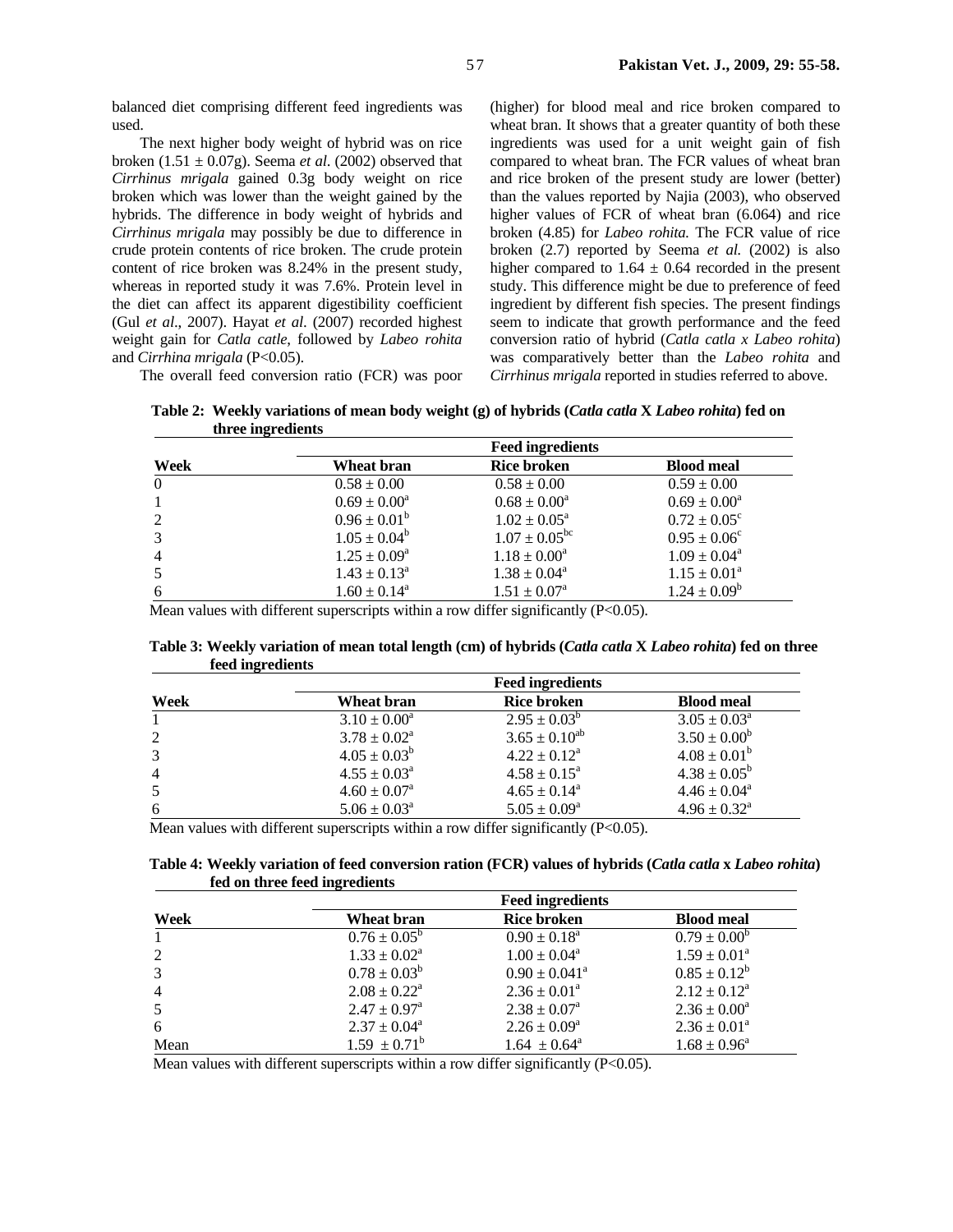balanced diet comprising different feed ingredients was used.

The next higher body weight of hybrid was on rice broken  $(1.51 \pm 0.07g)$ . Seema *et al.* (2002) observed that *Cirrhinus mrigala* gained 0.3g body weight on rice broken which was lower than the weight gained by the hybrids. The difference in body weight of hybrids and *Cirrhinus mrigala* may possibly be due to difference in crude protein contents of rice broken. The crude protein content of rice broken was 8.24% in the present study, whereas in reported study it was 7.6%. Protein level in the diet can affect its apparent digestibility coefficient (Gul *et al*., 2007). Hayat *et al*. (2007) recorded highest weight gain for *Catla catle*, followed by *Labeo rohita* and *Cirrhina mrigala* (P<0.05).

(higher) for blood meal and rice broken compared to wheat bran. It shows that a greater quantity of both these ingredients was used for a unit weight gain of fish compared to wheat bran. The FCR values of wheat bran and rice broken of the present study are lower (better) than the values reported by Najia (2003), who observed higher values of FCR of wheat bran (6.064) and rice broken (4.85) for *Labeo rohita.* The FCR value of rice broken (2.7) reported by Seema *et al.* (2002) is also higher compared to  $1.64 \pm 0.64$  recorded in the present study. This difference might be due to preference of feed ingredient by different fish species. The present findings seem to indicate that growth performance and the feed conversion ratio of hybrid (*Catla catla x Labeo rohita*) was comparatively better than the *Labeo rohita* and *Cirrhinus mrigala* reported in studies referred to above.

The overall feed conversion ratio (FCR) was poor

 **Table 2: Weekly variations of mean body weight (g) of hybrids (***Catla catla* **X** *Labeo rohita***) fed on three ingredients** 

|                | <b>Feed ingredients</b> |                            |                            |  |
|----------------|-------------------------|----------------------------|----------------------------|--|
| Week           | Wheat bran              | <b>Rice broken</b>         | <b>Blood meal</b>          |  |
| $\Omega$       | $0.58 \pm 0.00$         | $0.58 \pm 0.00$            | $0.59 \pm 0.00$            |  |
|                | $0.69 \pm 0.00^a$       | $0.68 \pm 0.00^a$          | $0.69 \pm 0.00^a$          |  |
| 2              | $0.96 \pm 0.01^b$       | $1.02 \pm 0.05^{\text{a}}$ | $0.72 \pm 0.05^{\circ}$    |  |
| 3              | $1.05 \pm 0.04^b$       | $1.07 \pm 0.05^{\rm bc}$   | $0.95 \pm 0.06^{\circ}$    |  |
| $\overline{4}$ | $1.25 \pm 0.09^{\rm a}$ | $1.18 \pm 0.00^a$          | $1.09 \pm 0.04^{\text{a}}$ |  |
|                | $1.43 \pm 0.13^{\circ}$ | $1.38 \pm 0.04^{\circ}$    | $1.15 \pm 0.01^a$          |  |
| 6              | $1.60 \pm 0.14^a$       | $1.51 \pm 0.07^{\text{a}}$ | $1.24 \pm 0.09^b$          |  |

Mean values with different superscripts within a row differ significantly (P<0.05).

 **Table 3: Weekly variation of mean total length (cm) of hybrids (***Catla catla* **X** *Labeo rohita***) fed on three feed ingredients** 

|                | <b>Feed ingredients</b>    |                            |                            |  |
|----------------|----------------------------|----------------------------|----------------------------|--|
| Week           | Wheat bran                 | <b>Rice broken</b>         | <b>Blood meal</b>          |  |
|                | $3.10 \pm 0.00^a$          | $2.95 \pm 0.03^b$          | $3.05 \pm 0.03^{\circ}$    |  |
| 2              | $3.78 \pm 0.02^{\text{a}}$ | $3.65 \pm 0.10^{ab}$       | $3.50 \pm 0.00^b$          |  |
| 3              | $4.05 \pm 0.03^b$          | $4.22 \pm 0.12^a$          | $4.08 \pm 0.01^b$          |  |
| $\overline{4}$ | $4.55 \pm 0.03^{\text{a}}$ | $4.58 \pm 0.15^{\text{a}}$ | $4.38 \pm 0.05^b$          |  |
| 5              | $4.60 \pm 0.07^{\text{a}}$ | $4.65 \pm 0.14^{\circ}$    | $4.46 \pm 0.04^a$          |  |
| 6              | $5.06 \pm 0.03^{\text{a}}$ | $5.05 \pm 0.09^{\rm a}$    | $4.96 \pm 0.32^{\text{a}}$ |  |

Mean values with different superscripts within a row differ significantly (P<0.05).

 **Table 4: Weekly variation of feed conversion ration (FCR) values of hybrids (***Catla catla* **x** *Labeo rohita***) fed on three feed ingredients** 

| Week           | <b>Feed ingredients</b>      |                            |                   |  |
|----------------|------------------------------|----------------------------|-------------------|--|
|                | Wheat bran                   | <b>Rice broken</b>         | <b>Blood meal</b> |  |
|                | $0.76 \pm 0.05^b$            | $0.90 \pm 0.18^a$          | $0.79 \pm 0.00^b$ |  |
| 2              | $1.33 \pm 0.02^a$            | $1.00 \pm 0.04^a$          | $1.59 \pm 0.01^a$ |  |
| 3              | $0.78 \pm 0.03^b$            | $0.90 \pm 0.041^{\circ}$   | $0.85 \pm 0.12^b$ |  |
| $\overline{4}$ | $2.08 \pm 0.22^{\text{a}}$   | $2.36 \pm 0.01^{\text{a}}$ | $2.12 \pm 0.12^a$ |  |
| 5              | $2.47 \pm 0.97$ <sup>a</sup> | $2.38 \pm 0.07^{\text{a}}$ | $2.36 \pm 0.00^a$ |  |
| 6              | $2.37 \pm 0.04^{\circ}$      | $2.26 \pm 0.09^a$          | $2.36 \pm 0.01^a$ |  |
| Mean           | $1.59 \pm 0.71^{\circ}$      | $1.64 \pm 0.64^{\text{a}}$ | $1.68 \pm 0.96^a$ |  |

Mean values with different superscripts within a row differ significantly  $(P<0.05)$ .